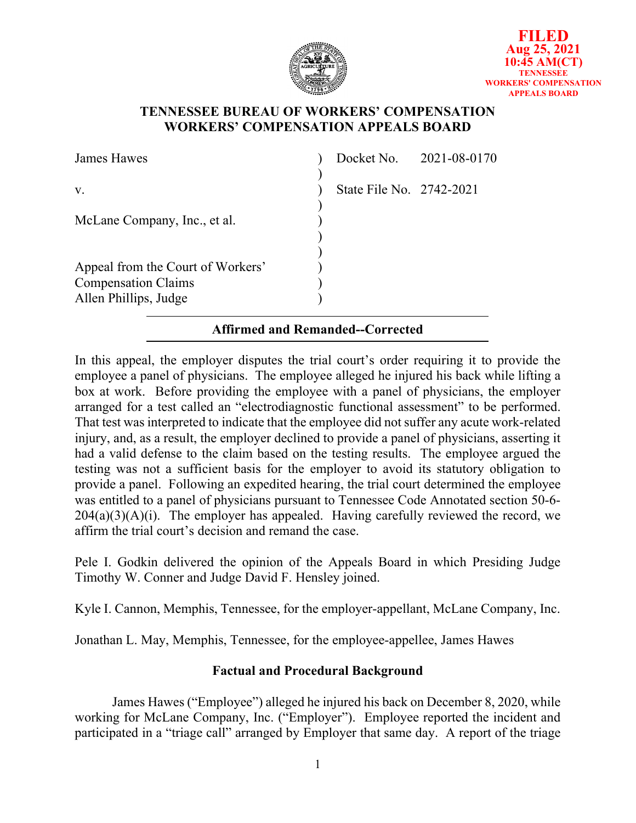

### **TENNESSEE BUREAU OF WORKERS' COMPENSATION WORKERS' COMPENSATION APPEALS BOARD**

|                          | Docket No. 2021-08-0170 |
|--------------------------|-------------------------|
| State File No. 2742-2021 |                         |
|                          |                         |
|                          |                         |
|                          |                         |

### **Affirmed and Remanded--Corrected**

In this appeal, the employer disputes the trial court's order requiring it to provide the employee a panel of physicians. The employee alleged he injured his back while lifting a box at work. Before providing the employee with a panel of physicians, the employer arranged for a test called an "electrodiagnostic functional assessment" to be performed. That test was interpreted to indicate that the employee did not suffer any acute work-related injury, and, as a result, the employer declined to provide a panel of physicians, asserting it had a valid defense to the claim based on the testing results. The employee argued the testing was not a sufficient basis for the employer to avoid its statutory obligation to provide a panel. Following an expedited hearing, the trial court determined the employee was entitled to a panel of physicians pursuant to Tennessee Code Annotated section 50-6-  $204(a)(3)(A)(i)$ . The employer has appealed. Having carefully reviewed the record, we affirm the trial court's decision and remand the case.

Pele I. Godkin delivered the opinion of the Appeals Board in which Presiding Judge Timothy W. Conner and Judge David F. Hensley joined.

Kyle I. Cannon, Memphis, Tennessee, for the employer-appellant, McLane Company, Inc.

Jonathan L. May, Memphis, Tennessee, for the employee-appellee, James Hawes

# **Factual and Procedural Background**

James Hawes ("Employee") alleged he injured his back on December 8, 2020, while working for McLane Company, Inc. ("Employer"). Employee reported the incident and participated in a "triage call" arranged by Employer that same day. A report of the triage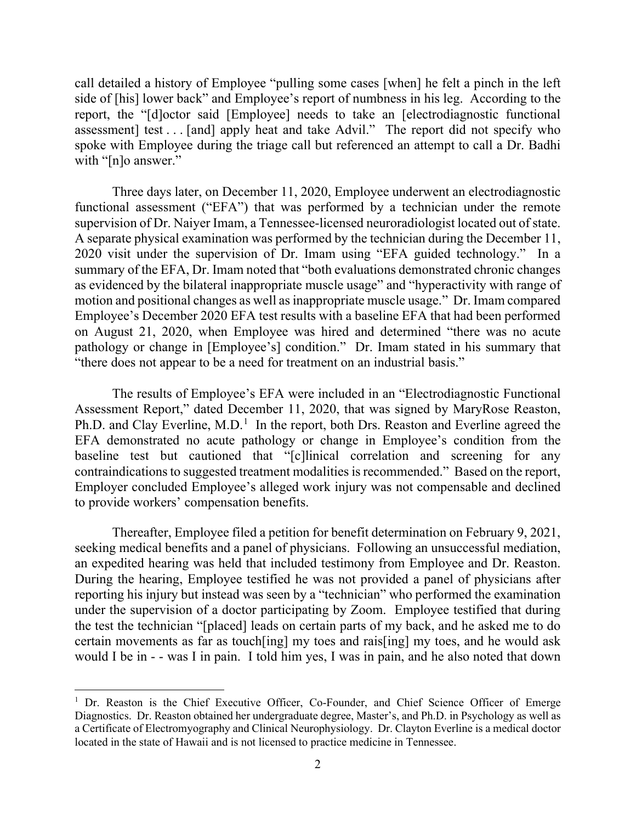call detailed a history of Employee "pulling some cases [when] he felt a pinch in the left side of [his] lower back" and Employee's report of numbness in his leg. According to the report, the "[d]octor said [Employee] needs to take an [electrodiagnostic functional assessment] test . . . [and] apply heat and take Advil." The report did not specify who spoke with Employee during the triage call but referenced an attempt to call a Dr. Badhi with "[n]o answer."

Three days later, on December 11, 2020, Employee underwent an electrodiagnostic functional assessment ("EFA") that was performed by a technician under the remote supervision of Dr. Naiyer Imam, a Tennessee-licensed neuroradiologist located out of state. A separate physical examination was performed by the technician during the December 11, 2020 visit under the supervision of Dr. Imam using "EFA guided technology." In a summary of the EFA, Dr. Imam noted that "both evaluations demonstrated chronic changes as evidenced by the bilateral inappropriate muscle usage" and "hyperactivity with range of motion and positional changes as well as inappropriate muscle usage." Dr. Imam compared Employee's December 2020 EFA test results with a baseline EFA that had been performed on August 21, 2020, when Employee was hired and determined "there was no acute pathology or change in [Employee's] condition." Dr. Imam stated in his summary that "there does not appear to be a need for treatment on an industrial basis."

The results of Employee's EFA were included in an "Electrodiagnostic Functional Assessment Report," dated December 11, 2020, that was signed by MaryRose Reaston, Ph.D. and Clay Everline, M.D.<sup>[1](#page-1-0)</sup> In the report, both Drs. Reaston and Everline agreed the EFA demonstrated no acute pathology or change in Employee's condition from the baseline test but cautioned that "[c]linical correlation and screening for any contraindications to suggested treatment modalities is recommended." Based on the report, Employer concluded Employee's alleged work injury was not compensable and declined to provide workers' compensation benefits.

Thereafter, Employee filed a petition for benefit determination on February 9, 2021, seeking medical benefits and a panel of physicians. Following an unsuccessful mediation, an expedited hearing was held that included testimony from Employee and Dr. Reaston. During the hearing, Employee testified he was not provided a panel of physicians after reporting his injury but instead was seen by a "technician" who performed the examination under the supervision of a doctor participating by Zoom. Employee testified that during the test the technician "[placed] leads on certain parts of my back, and he asked me to do certain movements as far as touch[ing] my toes and rais[ing] my toes, and he would ask would I be in - - was I in pain. I told him yes, I was in pain, and he also noted that down

<span id="page-1-0"></span><sup>&</sup>lt;sup>1</sup> Dr. Reaston is the Chief Executive Officer, Co-Founder, and Chief Science Officer of Emerge Diagnostics. Dr. Reaston obtained her undergraduate degree, Master's, and Ph.D. in Psychology as well as a Certificate of Electromyography and Clinical Neurophysiology. Dr. Clayton Everline is a medical doctor located in the state of Hawaii and is not licensed to practice medicine in Tennessee.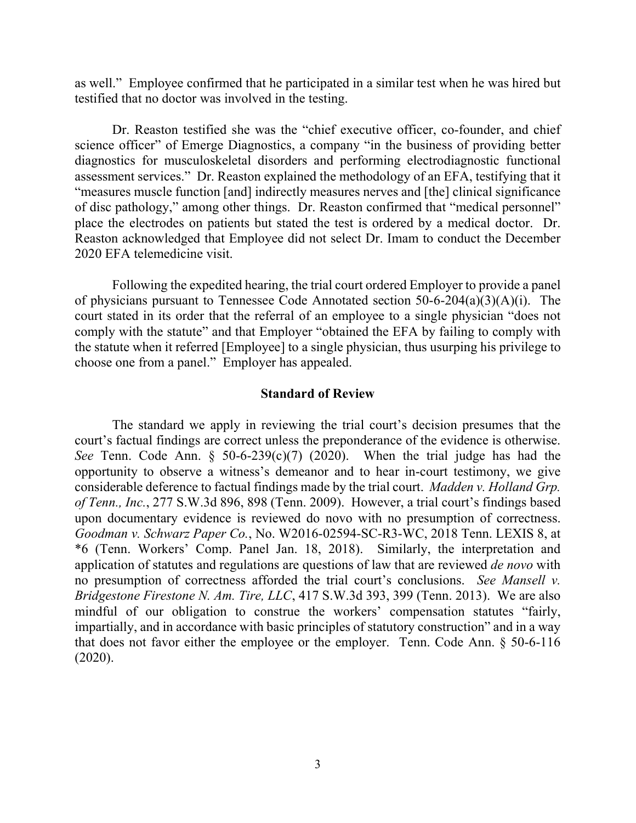as well." Employee confirmed that he participated in a similar test when he was hired but testified that no doctor was involved in the testing.

Dr. Reaston testified she was the "chief executive officer, co-founder, and chief science officer" of Emerge Diagnostics, a company "in the business of providing better diagnostics for musculoskeletal disorders and performing electrodiagnostic functional assessment services." Dr. Reaston explained the methodology of an EFA, testifying that it "measures muscle function [and] indirectly measures nerves and [the] clinical significance of disc pathology," among other things. Dr. Reaston confirmed that "medical personnel" place the electrodes on patients but stated the test is ordered by a medical doctor. Dr. Reaston acknowledged that Employee did not select Dr. Imam to conduct the December 2020 EFA telemedicine visit.

Following the expedited hearing, the trial court ordered Employer to provide a panel of physicians pursuant to Tennessee Code Annotated section 50-6-204(a)(3)(A)(i). The court stated in its order that the referral of an employee to a single physician "does not comply with the statute" and that Employer "obtained the EFA by failing to comply with the statute when it referred [Employee] to a single physician, thus usurping his privilege to choose one from a panel." Employer has appealed.

#### **Standard of Review**

The standard we apply in reviewing the trial court's decision presumes that the court's factual findings are correct unless the preponderance of the evidence is otherwise. *See* Tenn. Code Ann. § 50-6-239(c)(7) (2020). When the trial judge has had the opportunity to observe a witness's demeanor and to hear in-court testimony, we give considerable deference to factual findings made by the trial court. *Madden v. Holland Grp. of Tenn., Inc.*, 277 S.W.3d 896, 898 (Tenn. 2009). However, a trial court's findings based upon documentary evidence is reviewed do novo with no presumption of correctness. *Goodman v. Schwarz Paper Co.*, No. W2016-02594-SC-R3-WC, 2018 Tenn. LEXIS 8, at \*6 (Tenn. Workers' Comp. Panel Jan. 18, 2018). Similarly, the interpretation and application of statutes and regulations are questions of law that are reviewed *de novo* with no presumption of correctness afforded the trial court's conclusions. *See Mansell v. Bridgestone Firestone N. Am. Tire, LLC*, 417 S.W.3d 393, 399 (Tenn. 2013). We are also mindful of our obligation to construe the workers' compensation statutes "fairly, impartially, and in accordance with basic principles of statutory construction" and in a way that does not favor either the employee or the employer. Tenn. Code Ann. § 50-6-116 (2020).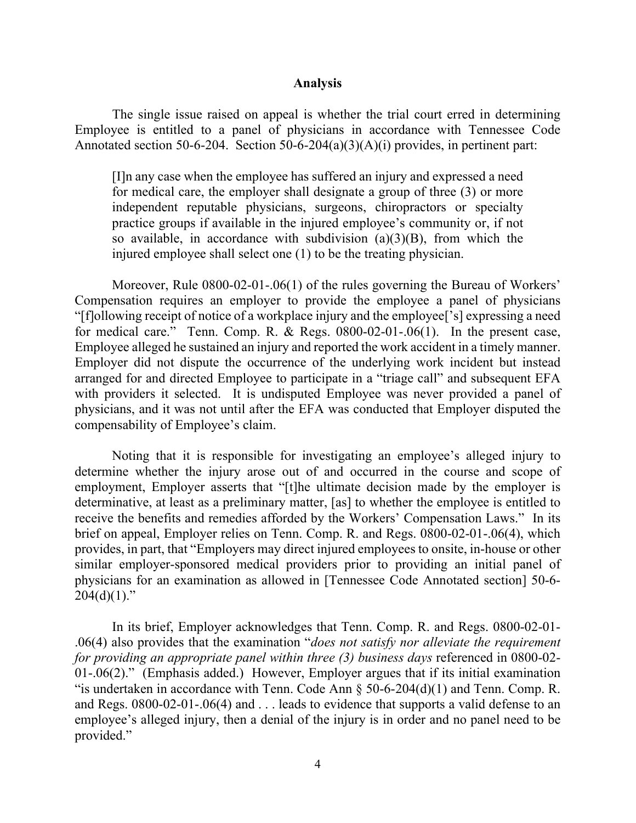#### **Analysis**

The single issue raised on appeal is whether the trial court erred in determining Employee is entitled to a panel of physicians in accordance with Tennessee Code Annotated section 50-6-204. Section 50-6-204(a)(3)(A)(i) provides, in pertinent part:

[I]n any case when the employee has suffered an injury and expressed a need for medical care, the employer shall designate a group of three (3) or more independent reputable physicians, surgeons, chiropractors or specialty practice groups if available in the injured employee's community or, if not so available, in accordance with subdivision  $(a)(3)(B)$ , from which the injured employee shall select one (1) to be the treating physician.

Moreover, Rule 0800-02-01-.06(1) of the rules governing the Bureau of Workers' Compensation requires an employer to provide the employee a panel of physicians "[f]ollowing receipt of notice of a workplace injury and the employee['s] expressing a need for medical care." Tenn. Comp. R. & Regs. 0800-02-01-.06(1). In the present case, Employee alleged he sustained an injury and reported the work accident in a timely manner. Employer did not dispute the occurrence of the underlying work incident but instead arranged for and directed Employee to participate in a "triage call" and subsequent EFA with providers it selected. It is undisputed Employee was never provided a panel of physicians, and it was not until after the EFA was conducted that Employer disputed the compensability of Employee's claim.

Noting that it is responsible for investigating an employee's alleged injury to determine whether the injury arose out of and occurred in the course and scope of employment, Employer asserts that "[t]he ultimate decision made by the employer is determinative, at least as a preliminary matter, [as] to whether the employee is entitled to receive the benefits and remedies afforded by the Workers' Compensation Laws." In its brief on appeal, Employer relies on Tenn. Comp. R. and Regs. 0800-02-01-.06(4), which provides, in part, that "Employers may direct injured employees to onsite, in-house or other similar employer-sponsored medical providers prior to providing an initial panel of physicians for an examination as allowed in [Tennessee Code Annotated section] 50-6-  $204(d)(1)$ ."

In its brief, Employer acknowledges that Tenn. Comp. R. and Regs. 0800-02-01- .06(4) also provides that the examination "*does not satisfy nor alleviate the requirement for providing an appropriate panel within three (3) business days* referenced in 0800-02- 01-.06(2)." (Emphasis added.) However, Employer argues that if its initial examination "is undertaken in accordance with Tenn. Code Ann § 50-6-204(d)(1) and Tenn. Comp. R. and Regs. 0800-02-01-.06(4) and . . . leads to evidence that supports a valid defense to an employee's alleged injury, then a denial of the injury is in order and no panel need to be provided."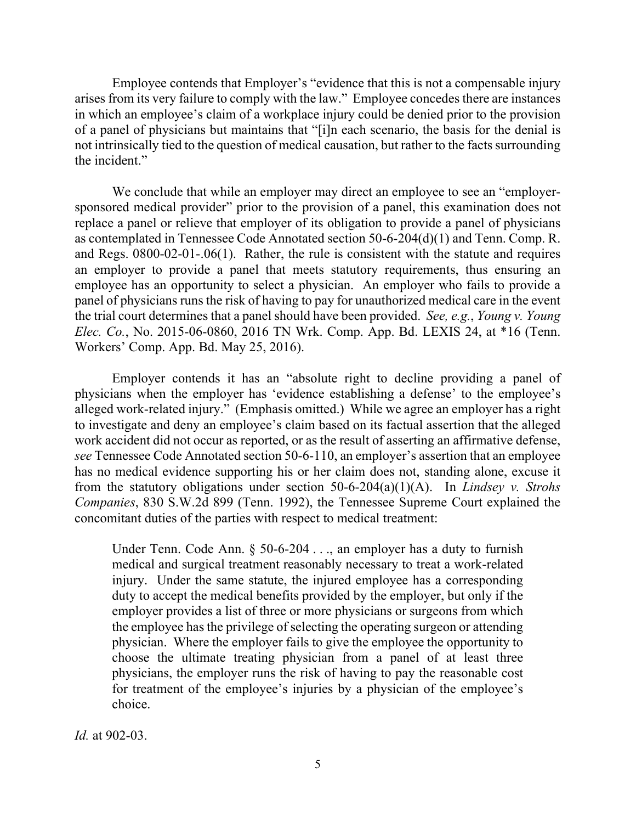Employee contends that Employer's "evidence that this is not a compensable injury arises from its very failure to comply with the law." Employee concedes there are instances in which an employee's claim of a workplace injury could be denied prior to the provision of a panel of physicians but maintains that "[i]n each scenario, the basis for the denial is not intrinsically tied to the question of medical causation, but rather to the facts surrounding the incident."

We conclude that while an employer may direct an employee to see an "employersponsored medical provider" prior to the provision of a panel, this examination does not replace a panel or relieve that employer of its obligation to provide a panel of physicians as contemplated in Tennessee Code Annotated section 50-6-204(d)(1) and Tenn. Comp. R. and Regs. 0800-02-01-.06(1). Rather, the rule is consistent with the statute and requires an employer to provide a panel that meets statutory requirements, thus ensuring an employee has an opportunity to select a physician. An employer who fails to provide a panel of physicians runs the risk of having to pay for unauthorized medical care in the event the trial court determines that a panel should have been provided. *See, e.g.*, *Young v. Young Elec. Co.*, No. 2015-06-0860, 2016 TN Wrk. Comp. App. Bd. LEXIS 24, at \*16 (Tenn. Workers' Comp. App. Bd. May 25, 2016).

Employer contends it has an "absolute right to decline providing a panel of physicians when the employer has 'evidence establishing a defense' to the employee's alleged work-related injury." (Emphasis omitted.) While we agree an employer has a right to investigate and deny an employee's claim based on its factual assertion that the alleged work accident did not occur as reported, or as the result of asserting an affirmative defense, *see* Tennessee Code Annotated section 50-6-110, an employer's assertion that an employee has no medical evidence supporting his or her claim does not, standing alone, excuse it from the statutory obligations under section 50-6-204(a)(1)(A). In *Lindsey v. Strohs Companies*, 830 S.W.2d 899 (Tenn. 1992), the Tennessee Supreme Court explained the concomitant duties of the parties with respect to medical treatment:

Under Tenn. Code Ann. § 50-6-204 . . ., an employer has a duty to furnish medical and surgical treatment reasonably necessary to treat a work-related injury. Under the same statute, the injured employee has a corresponding duty to accept the medical benefits provided by the employer, but only if the employer provides a list of three or more physicians or surgeons from which the employee has the privilege of selecting the operating surgeon or attending physician. Where the employer fails to give the employee the opportunity to choose the ultimate treating physician from a panel of at least three physicians, the employer runs the risk of having to pay the reasonable cost for treatment of the employee's injuries by a physician of the employee's choice.

*Id.* at 902-03.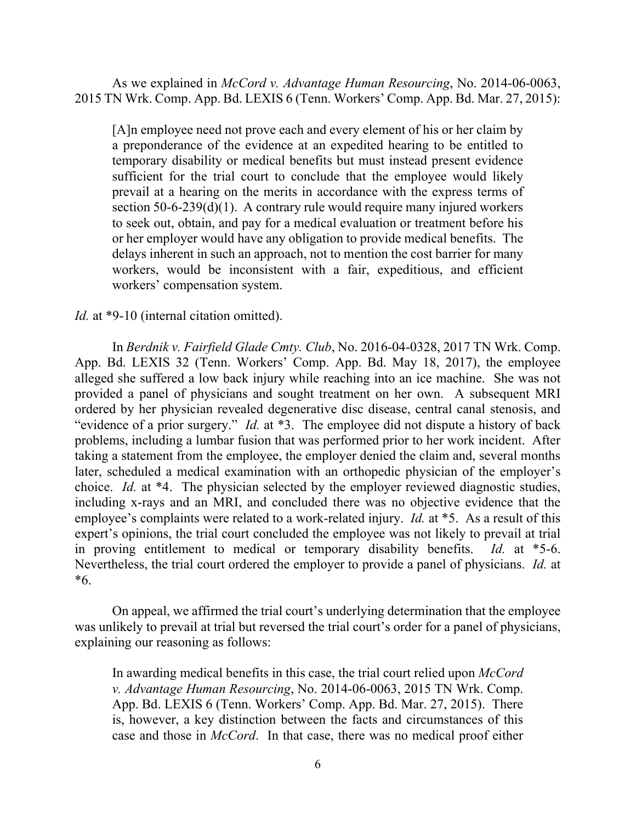As we explained in *McCord v. Advantage Human Resourcing*, No. 2014-06-0063, 2015 TN Wrk. Comp. App. Bd. LEXIS 6 (Tenn. Workers' Comp. App. Bd. Mar. 27, 2015):

[A]n employee need not prove each and every element of his or her claim by a preponderance of the evidence at an expedited hearing to be entitled to temporary disability or medical benefits but must instead present evidence sufficient for the trial court to conclude that the employee would likely prevail at a hearing on the merits in accordance with the express terms of section 50-6-239(d)(1). A contrary rule would require many injured workers to seek out, obtain, and pay for a medical evaluation or treatment before his or her employer would have any obligation to provide medical benefits. The delays inherent in such an approach, not to mention the cost barrier for many workers, would be inconsistent with a fair, expeditious, and efficient workers' compensation system.

*Id.* at \*9-10 (internal citation omitted).

In *Berdnik v. Fairfield Glade Cmty. Club*, No. 2016-04-0328, 2017 TN Wrk. Comp. App. Bd. LEXIS 32 (Tenn. Workers' Comp. App. Bd. May 18, 2017), the employee alleged she suffered a low back injury while reaching into an ice machine. She was not provided a panel of physicians and sought treatment on her own. A subsequent MRI ordered by her physician revealed degenerative disc disease, central canal stenosis, and "evidence of a prior surgery." *Id.* at \*3. The employee did not dispute a history of back problems, including a lumbar fusion that was performed prior to her work incident. After taking a statement from the employee, the employer denied the claim and, several months later, scheduled a medical examination with an orthopedic physician of the employer's choice. *Id.* at \*4. The physician selected by the employer reviewed diagnostic studies, including x-rays and an MRI, and concluded there was no objective evidence that the employee's complaints were related to a work-related injury. *Id.* at \*5. As a result of this expert's opinions, the trial court concluded the employee was not likely to prevail at trial in proving entitlement to medical or temporary disability benefits. *Id.* at \*5-6. Nevertheless, the trial court ordered the employer to provide a panel of physicians. *Id.* at \*6.

On appeal, we affirmed the trial court's underlying determination that the employee was unlikely to prevail at trial but reversed the trial court's order for a panel of physicians, explaining our reasoning as follows:

In awarding medical benefits in this case, the trial court relied upon *McCord v. Advantage Human Resourcing*, No. 2014-06-0063, 2015 TN Wrk. Comp. App. Bd. LEXIS 6 (Tenn. Workers' Comp. App. Bd. Mar. 27, 2015). There is, however, a key distinction between the facts and circumstances of this case and those in *McCord*. In that case, there was no medical proof either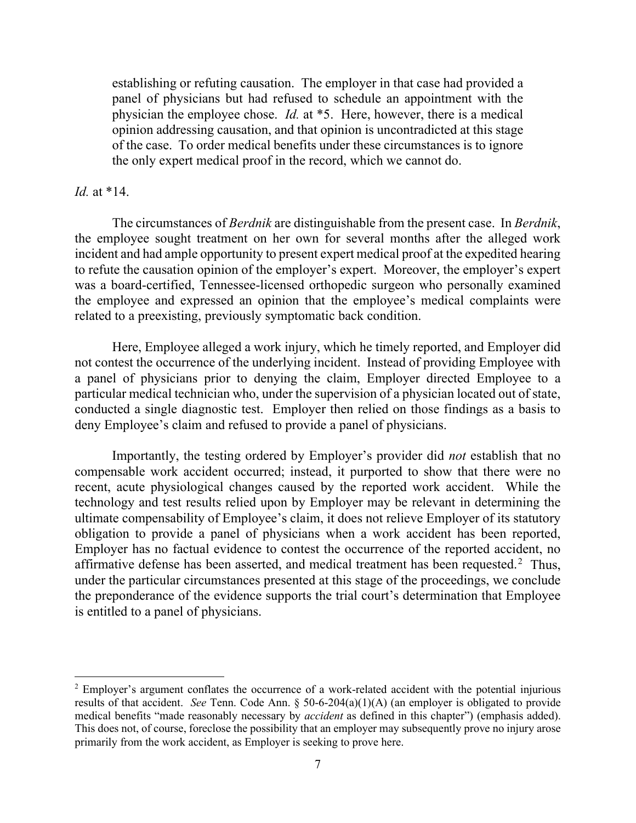establishing or refuting causation. The employer in that case had provided a panel of physicians but had refused to schedule an appointment with the physician the employee chose. *Id.* at \*5. Here, however, there is a medical opinion addressing causation, and that opinion is uncontradicted at this stage of the case. To order medical benefits under these circumstances is to ignore the only expert medical proof in the record, which we cannot do.

#### *Id.* at \*14.

 The circumstances of *Berdnik* are distinguishable from the present case. In *Berdnik*, the employee sought treatment on her own for several months after the alleged work incident and had ample opportunity to present expert medical proof at the expedited hearing to refute the causation opinion of the employer's expert. Moreover, the employer's expert was a board-certified, Tennessee-licensed orthopedic surgeon who personally examined the employee and expressed an opinion that the employee's medical complaints were related to a preexisting, previously symptomatic back condition.

Here, Employee alleged a work injury, which he timely reported, and Employer did not contest the occurrence of the underlying incident. Instead of providing Employee with a panel of physicians prior to denying the claim, Employer directed Employee to a particular medical technician who, under the supervision of a physician located out of state, conducted a single diagnostic test. Employer then relied on those findings as a basis to deny Employee's claim and refused to provide a panel of physicians.

Importantly, the testing ordered by Employer's provider did *not* establish that no compensable work accident occurred; instead, it purported to show that there were no recent, acute physiological changes caused by the reported work accident. While the technology and test results relied upon by Employer may be relevant in determining the ultimate compensability of Employee's claim, it does not relieve Employer of its statutory obligation to provide a panel of physicians when a work accident has been reported, Employer has no factual evidence to contest the occurrence of the reported accident, no affirmative defense has been asserted, and medical treatment has been requested.<sup>[2](#page-6-0)</sup> Thus, under the particular circumstances presented at this stage of the proceedings, we conclude the preponderance of the evidence supports the trial court's determination that Employee is entitled to a panel of physicians.

<span id="page-6-0"></span><sup>&</sup>lt;sup>2</sup> Employer's argument conflates the occurrence of a work-related accident with the potential injurious results of that accident. *See* Tenn. Code Ann. § 50-6-204(a)(1)(A) (an employer is obligated to provide medical benefits "made reasonably necessary by *accident* as defined in this chapter") (emphasis added). This does not, of course, foreclose the possibility that an employer may subsequently prove no injury arose primarily from the work accident, as Employer is seeking to prove here.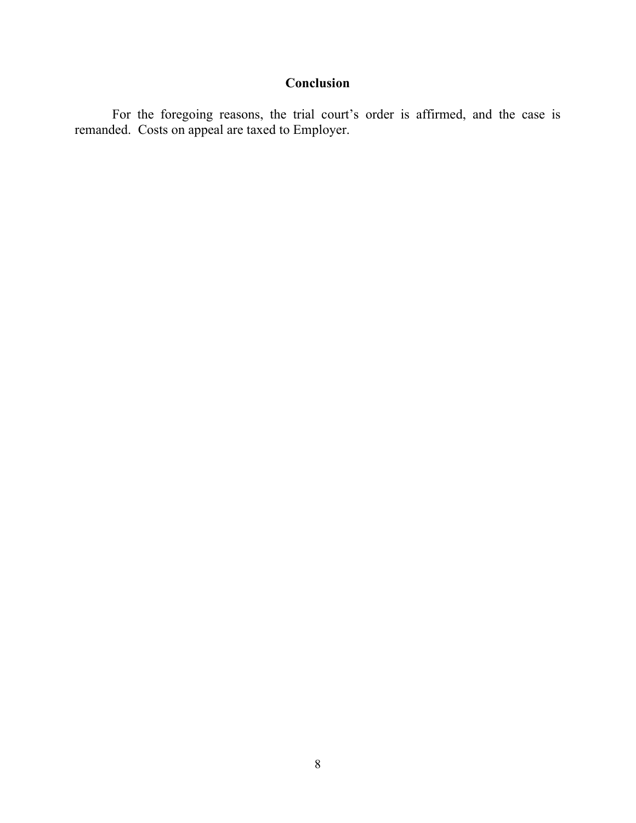# **Conclusion**

For the foregoing reasons, the trial court's order is affirmed, and the case is remanded. Costs on appeal are taxed to Employer.